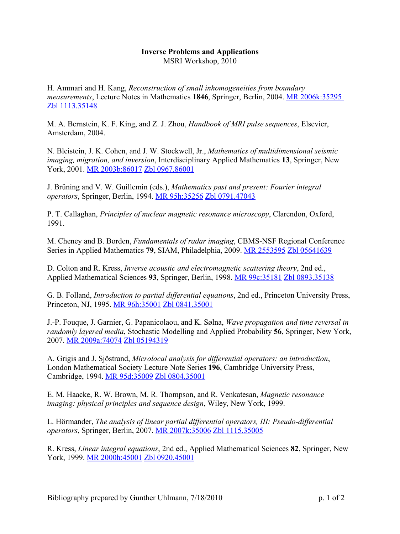## **Inverse Problems and Applications** MSRI Workshop, 2010

H. Ammari and H. Kang, *Reconstruction of small inhomogeneities from boundary measurements*, Lecture Notes in Mathematics **1846**, Springer, Berlin, 2004. [MR 2006k:35295](http://www.ams.org/mathscinet-getitem?mr=2006k:35295) [Zbl 1113.35148](http://www.emis.de/cgi-bin/MATH-item?1113.35148)

M. A. Bernstein, K. F. King, and Z. J. Zhou, *Handbook of MRI pulse sequences*, Elsevier, Amsterdam, 2004.

N. Bleistein, J. K. Cohen, and J. W. Stockwell, Jr., *Mathematics of multidimensional seismic imaging, migration, and inversion*, Interdisciplinary Applied Mathematics **13**, Springer, New York, 2001. [MR 2003b:86017](http://www.ams.org/mathscinet-getitem?mr=2003b:86017) [Zbl 0967.86001](http://www.emis.de/cgi-bin/MATH-item?0967.86001)

J. Brüning and V. W. Guillemin (eds.), *Mathematics past and present: Fourier integral operators*, Springer, Berlin, 1994. [MR 95h:35256](http://www.ams.org/mathscinet-getitem?mr=95h:35256) [Zbl 0791.47043](http://www.emis.de/cgi-bin/MATH-item?0791.47043)

P. T. Callaghan, *Principles of nuclear magnetic resonance microscopy*, Clarendon, Oxford, 1991.

M. Cheney and B. Borden, *Fundamentals of radar imaging*, CBMS-NSF Regional Conference Series in Applied Mathematics **79**, SIAM, Philadelphia, 2009. [MR 2553595](http://www.ams.org/mathscinet-getitem?mr=2553595) [Zbl 05641639](http://www.emis.de/cgi-bin/MATH-item?05641639)

D. Colton and R. Kress, *Inverse acoustic and electromagnetic scattering theory*, 2nd ed., Applied Mathematical Sciences **93**, Springer, Berlin, 1998. [MR 99c:35181](http://www.ams.org/mathscinet-getitem?mr=99c:35181) [Zbl 0893.35138](http://www.emis.de/cgi-bin/MATH-item?0893.35138) 

G. B. Folland, *Introduction to partial differential equations*, 2nd ed., Princeton University Press, Princeton, NJ, 1995. [MR 96h:35001](http://www.ams.org/mathscinet-getitem?mr=96h:35001) [Zbl 0841.35001](http://www.emis.de/cgi-bin/MATH-item?0841.35001)

J.-P. Fouque, J. Garnier, G. Papanicolaou, and K. Sølna, *Wave propagation and time reversal in randomly layered media*, Stochastic Modelling and Applied Probability **56**, Springer, New York, 2007. [MR 2009a:74074](http://www.ams.org/mathscinet-getitem?mr=2009a:74074) [Zbl 05194319](http://www.emis.de/cgi-bin/MATH-item?05194319)

A. Grigis and J. Sjöstrand, *Microlocal analysis for differential operators: an introduction*, London Mathematical Society Lecture Note Series **196**, Cambridge University Press, Cambridge, 1994. [MR 95d:35009](http://www.ams.org/mathscinet-getitem?mr=95d:35009) [Zbl 0804.35001](http://www.emis.de/cgi-bin/MATH-item?0804.35001)

E. M. Haacke, R. W. Brown, M. R. Thompson, and R. Venkatesan, *Magnetic resonance imaging: physical principles and sequence design*, Wiley, New York, 1999.

L. Hörmander, *The analysis of linear partial differential operators, III: Pseudo-differential operators*, Springer, Berlin, 2007. [MR 2007k:35006](http://www.ams.org/mathscinet-getitem?mr=2007k:35006) [Zbl 1115.35005](http://www.emis.de/cgi-bin/MATH-item?1115.35005)

R. Kress, *Linear integral equations*, 2nd ed., Applied Mathematical Sciences **82**, Springer, New York, 1999. [MR 2000h:45001](http://www.ams.org/mathscinet-getitem?mr=2000h:45001) [Zbl 0920.45001](http://www.emis.de/cgi-bin/MATH-item?0920.45001)